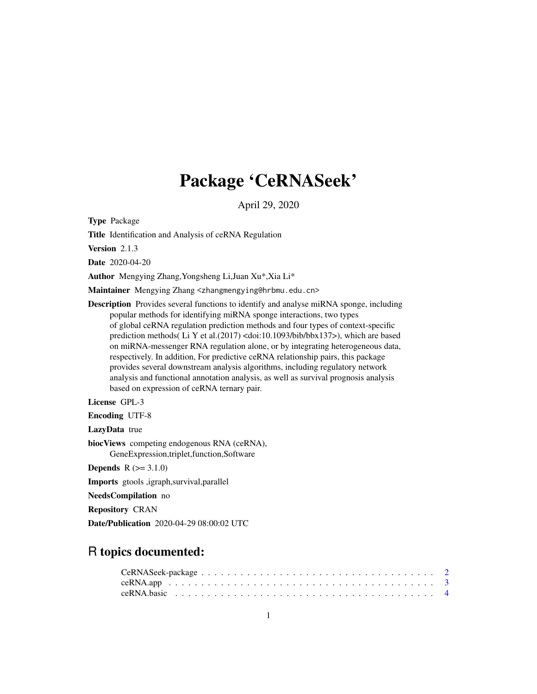## Package 'CeRNASeek'

April 29, 2020

<span id="page-0-0"></span>Type Package

Title Identification and Analysis of ceRNA Regulation

Version 2.1.3

Date 2020-04-20

Author Mengying Zhang,Yongsheng Li,Juan Xu\*,Xia Li\*

Maintainer Mengying Zhang <zhangmengying@hrbmu.edu.cn>

Description Provides several functions to identify and analyse miRNA sponge, including popular methods for identifying miRNA sponge interactions, two types of global ceRNA regulation prediction methods and four types of context-specific prediction methods( Li Y et al.(2017) <doi:10.1093/bib/bbx137>), which are based on miRNA-messenger RNA regulation alone, or by integrating heterogeneous data, respectively. In addition, For predictive ceRNA relationship pairs, this package provides several downstream analysis algorithms, including regulatory network analysis and functional annotation analysis, as well as survival prognosis analysis based on expression of ceRNA ternary pair.

License GPL-3

Encoding UTF-8

LazyData true

biocViews competing endogenous RNA (ceRNA), GeneExpression,triplet,function,Software

**Depends**  $R (= 3.1.0)$ 

Imports gtools ,igraph,survival,parallel

NeedsCompilation no

Repository CRAN

Date/Publication 2020-04-29 08:00:02 UTC

### R topics documented: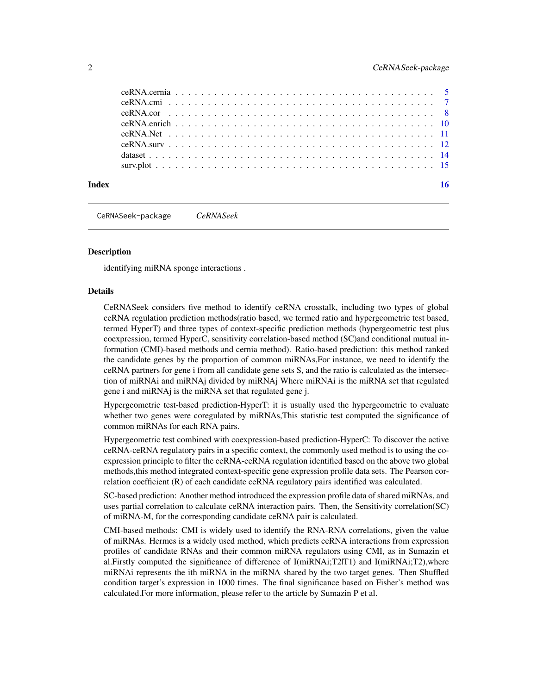<span id="page-1-0"></span>

| Index |  |  | 16 |
|-------|--|--|----|

CeRNASeek-package *CeRNASeek*

#### **Description**

identifying miRNA sponge interactions .

#### Details

CeRNASeek considers five method to identify ceRNA crosstalk, including two types of global ceRNA regulation prediction methods(ratio based, we termed ratio and hypergeometric test based, termed HyperT) and three types of context-specific prediction methods (hypergeometric test plus coexpression, termed HyperC, sensitivity correlation-based method (SC)and conditional mutual information (CMI)-based methods and cernia method). Ratio-based prediction: this method ranked the candidate genes by the proportion of common miRNAs,For instance, we need to identify the ceRNA partners for gene i from all candidate gene sets S, and the ratio is calculated as the intersection of miRNAi and miRNAj divided by miRNAj Where miRNAi is the miRNA set that regulated gene i and miRNAj is the miRNA set that regulated gene j.

Hypergeometric test-based prediction-HyperT: it is usually used the hypergeometric to evaluate whether two genes were coregulated by miRNAs, This statistic test computed the significance of common miRNAs for each RNA pairs.

Hypergeometric test combined with coexpression-based prediction-HyperC: To discover the active ceRNA-ceRNA regulatory pairs in a specific context, the commonly used method is to using the coexpression principle to filter the ceRNA-ceRNA regulation identified based on the above two global methods,this method integrated context-specific gene expression profile data sets. The Pearson correlation coefficient (R) of each candidate ceRNA regulatory pairs identified was calculated.

SC-based prediction: Another method introduced the expression profile data of shared miRNAs, and uses partial correlation to calculate ceRNA interaction pairs. Then, the Sensitivity correlation(SC) of miRNA-M, for the corresponding candidate ceRNA pair is calculated.

CMI-based methods: CMI is widely used to identify the RNA-RNA correlations, given the value of miRNAs. Hermes is a widely used method, which predicts ceRNA interactions from expression profiles of candidate RNAs and their common miRNA regulators using CMI, as in Sumazin et al.Firstly computed the significance of difference of I(miRNAi;T2|T1) and I(miRNAi;T2),where miRNAi represents the ith miRNA in the miRNA shared by the two target genes. Then Shuffled condition target's expression in 1000 times. The final significance based on Fisher's method was calculated.For more information, please refer to the article by Sumazin P et al.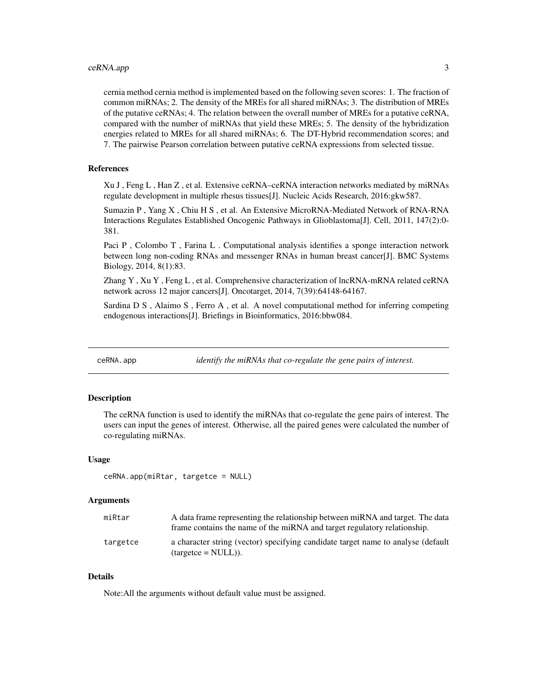<span id="page-2-0"></span>cernia method cernia method is implemented based on the following seven scores: 1. The fraction of common miRNAs; 2. The density of the MREs for all shared miRNAs; 3. The distribution of MREs of the putative ceRNAs; 4. The relation between the overall number of MREs for a putative ceRNA, compared with the number of miRNAs that yield these MREs; 5. The density of the hybridization energies related to MREs for all shared miRNAs; 6. The DT-Hybrid recommendation scores; and 7. The pairwise Pearson correlation between putative ceRNA expressions from selected tissue.

#### References

Xu J , Feng L , Han Z , et al. Extensive ceRNA–ceRNA interaction networks mediated by miRNAs regulate development in multiple rhesus tissues[J]. Nucleic Acids Research, 2016:gkw587.

Sumazin P , Yang X , Chiu H S , et al. An Extensive MicroRNA-Mediated Network of RNA-RNA Interactions Regulates Established Oncogenic Pathways in Glioblastoma[J]. Cell, 2011, 147(2):0- 381.

Paci P, Colombo T, Farina L. Computational analysis identifies a sponge interaction network between long non-coding RNAs and messenger RNAs in human breast cancer[J]. BMC Systems Biology, 2014, 8(1):83.

Zhang Y , Xu Y , Feng L , et al. Comprehensive characterization of lncRNA-mRNA related ceRNA network across 12 major cancers[J]. Oncotarget, 2014, 7(39):64148-64167.

Sardina D S , Alaimo S , Ferro A , et al. A novel computational method for inferring competing endogenous interactions[J]. Briefings in Bioinformatics, 2016:bbw084.

ceRNA.app *identify the miRNAs that co-regulate the gene pairs of interest.*

#### **Description**

The ceRNA function is used to identify the miRNAs that co-regulate the gene pairs of interest. The users can input the genes of interest. Otherwise, all the paired genes were calculated the number of co-regulating miRNAs.

#### Usage

```
ceRNA.app(miRtar, targetce = NULL)
```
#### Arguments

| miRtar   | A data frame representing the relationship between miRNA and target. The data<br>frame contains the name of the miRNA and target regulatory relationship. |
|----------|-----------------------------------------------------------------------------------------------------------------------------------------------------------|
| targetce | a character string (vector) specifying candidate target name to analyse (default<br>$\text{(targetce} = \text{NULL})$ ).                                  |

#### Details

Note:All the arguments without default value must be assigned.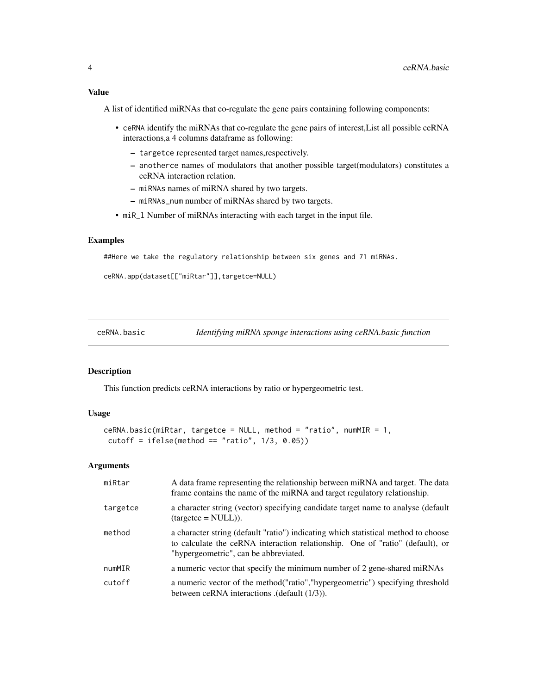<span id="page-3-0"></span>A list of identified miRNAs that co-regulate the gene pairs containing following components:

- ceRNA identify the miRNAs that co-regulate the gene pairs of interest,List all possible ceRNA interactions,a 4 columns dataframe as following:
	- targetce represented target names,respectively.
	- anotherce names of modulators that another possible target(modulators) constitutes a ceRNA interaction relation.
	- miRNAs names of miRNA shared by two targets.
	- miRNAs\_num number of miRNAs shared by two targets.
- miR\_l Number of miRNAs interacting with each target in the input file.

#### Examples

##Here we take the regulatory relationship between six genes and 71 miRNAs.

```
ceRNA.app(dataset[["miRtar"]],targetce=NULL)
```
ceRNA.basic *Identifying miRNA sponge interactions using ceRNA.basic function*

#### Description

This function predicts ceRNA interactions by ratio or hypergeometric test.

#### Usage

```
ceRNA.basic(miRtar, targetce = NULL, method = "ratio", numMIR = 1,
cutoff = ifelse(method == "ratio", 1/3, 0.05))
```
#### Arguments

| miRtar   | A data frame representing the relationship between miRNA and target. The data<br>frame contains the name of the miRNA and target regulatory relationship.                                                    |
|----------|--------------------------------------------------------------------------------------------------------------------------------------------------------------------------------------------------------------|
| targetce | a character string (vector) specifying candidate target name to analyse (default<br>$(t \text{argetce} = \text{NULL})$ ).                                                                                    |
| method   | a character string (default "ratio") indicating which statistical method to choose<br>to calculate the ceRNA interaction relationship. One of "ratio" (default), or<br>"hypergeometric", can be abbreviated. |
| numMIR   | a numeric vector that specify the minimum number of 2 gene-shared miRNAs                                                                                                                                     |
| cutoff   | a numeric vector of the method ("ratio", "hypergeometric") specifying threshold<br>between ceRNA interactions (default (1/3)).                                                                               |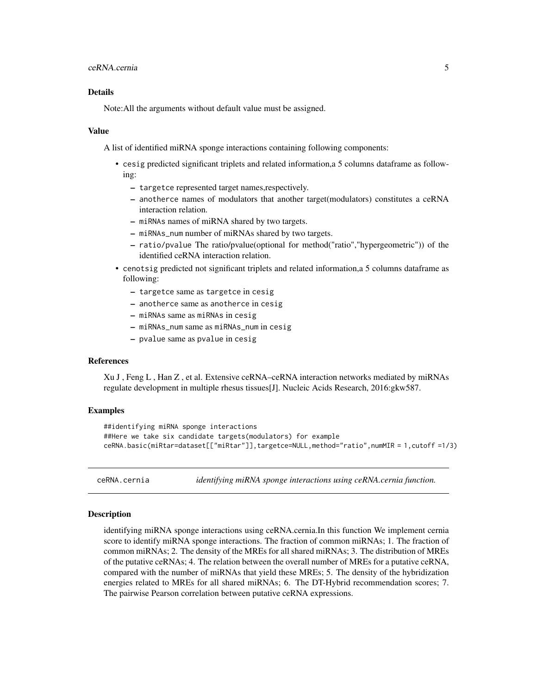#### <span id="page-4-0"></span>Details

Note:All the arguments without default value must be assigned.

#### Value

A list of identified miRNA sponge interactions containing following components:

- cesig predicted significant triplets and related information,a 5 columns dataframe as following:
	- targetce represented target names,respectively.
	- anotherce names of modulators that another target(modulators) constitutes a ceRNA interaction relation.
	- miRNAs names of miRNA shared by two targets.
	- miRNAs\_num number of miRNAs shared by two targets.
	- ratio/pvalue The ratio/pvalue(optional for method("ratio","hypergeometric")) of the identified ceRNA interaction relation.
- cenotsig predicted not significant triplets and related information,a 5 columns dataframe as following:
	- targetce same as targetce in cesig
	- anotherce same as anotherce in cesig
	- miRNAs same as miRNAs in cesig
	- miRNAs\_num same as miRNAs\_num in cesig
	- pvalue same as pvalue in cesig

#### References

Xu J , Feng L , Han Z , et al. Extensive ceRNA–ceRNA interaction networks mediated by miRNAs regulate development in multiple rhesus tissues[J]. Nucleic Acids Research, 2016:gkw587.

#### Examples

```
##identifying miRNA sponge interactions
##Here we take six candidate targets(modulators) for example
ceRNA.basic(miRtar=dataset[["miRtar"]],targetce=NULL,method="ratio",numMIR = 1,cutoff =1/3)
```
ceRNA.cernia *identifying miRNA sponge interactions using ceRNA.cernia function.*

#### Description

identifying miRNA sponge interactions using ceRNA.cernia.In this function We implement cernia score to identify miRNA sponge interactions. The fraction of common miRNAs; 1. The fraction of common miRNAs; 2. The density of the MREs for all shared miRNAs; 3. The distribution of MREs of the putative ceRNAs; 4. The relation between the overall number of MREs for a putative ceRNA, compared with the number of miRNAs that yield these MREs; 5. The density of the hybridization energies related to MREs for all shared miRNAs; 6. The DT-Hybrid recommendation scores; 7. The pairwise Pearson correlation between putative ceRNA expressions.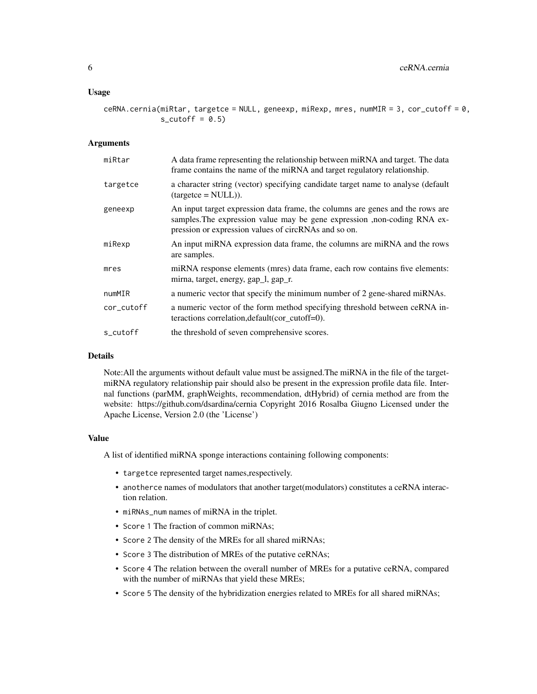#### Usage

ceRNA.cernia(miRtar, targetce = NULL, geneexp, miRexp, mres, numMIR = 3, cor\_cutoff =  $0$ ,  $s_cutoff = 0.5)$ 

#### Arguments

| miRtar     | A data frame representing the relationship between miRNA and target. The data<br>frame contains the name of the miRNA and target regulatory relationship.                                                          |
|------------|--------------------------------------------------------------------------------------------------------------------------------------------------------------------------------------------------------------------|
| targetce   | a character string (vector) specifying candidate target name to analyse (default<br>$(targetce = NULL).$                                                                                                           |
| geneexp    | An input target expression data frame, the columns are genes and the rows are<br>samples. The expression value may be gene expression , non-coding RNA ex-<br>pression or expression values of circRNAs and so on. |
| miRexp     | An input miRNA expression data frame, the columns are miRNA and the rows<br>are samples.                                                                                                                           |
| mres       | miRNA response elements (mres) data frame, each row contains five elements:<br>mirna, target, energy, gap_l, gap_r.                                                                                                |
| numMIR     | a numeric vector that specify the minimum number of 2 gene-shared miRNAs.                                                                                                                                          |
| cor_cutoff | a numeric vector of the form method specifying threshold between ceRNA in-<br>teractions correlation, default (cor cutoff=0).                                                                                      |
| s_cutoff   | the threshold of seven comprehensive scores.                                                                                                                                                                       |

#### Details

Note:All the arguments without default value must be assigned.The miRNA in the file of the targetmiRNA regulatory relationship pair should also be present in the expression profile data file. Internal functions (parMM, graphWeights, recommendation, dtHybrid) of cernia method are from the website: https://github.com/dsardina/cernia Copyright 2016 Rosalba Giugno Licensed under the Apache License, Version 2.0 (the 'License')

#### Value

A list of identified miRNA sponge interactions containing following components:

- targetce represented target names,respectively.
- anotherce names of modulators that another target(modulators) constitutes a ceRNA interaction relation.
- miRNAs\_num names of miRNA in the triplet.
- Score 1 The fraction of common miRNAs;
- Score 2 The density of the MREs for all shared miRNAs;
- Score 3 The distribution of MREs of the putative ceRNAs;
- Score 4 The relation between the overall number of MREs for a putative ceRNA, compared with the number of miRNAs that yield these MREs;
- Score 5 The density of the hybridization energies related to MREs for all shared miRNAs;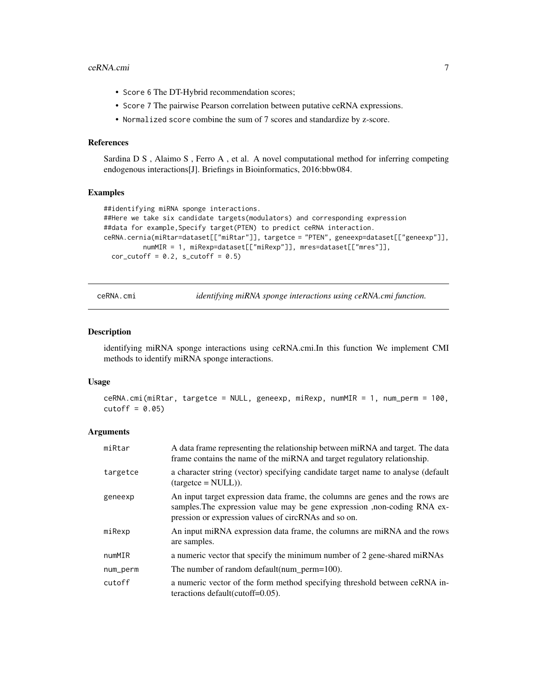#### <span id="page-6-0"></span>ceRNA.cmi 7

- Score 6 The DT-Hybrid recommendation scores;
- Score 7 The pairwise Pearson correlation between putative ceRNA expressions.
- Normalized score combine the sum of 7 scores and standardize by z-score.

#### References

Sardina D S , Alaimo S , Ferro A , et al. A novel computational method for inferring competing endogenous interactions[J]. Briefings in Bioinformatics, 2016:bbw084.

#### Examples

```
##identifying miRNA sponge interactions.
##Here we take six candidate targets(modulators) and corresponding expression
##data for example,Specify target(PTEN) to predict ceRNA interaction.
ceRNA.cernia(miRtar=dataset[["miRtar"]], targetce = "PTEN", geneexp=dataset[["geneexp"]],
         numMIR = 1, miRexp=dataset[["miRexp"]], mres=dataset[["mres"]],
 cor\_cutoff = 0.2, s\_cutoff = 0.5
```
ceRNA.cmi *identifying miRNA sponge interactions using ceRNA.cmi function.*

#### Description

identifying miRNA sponge interactions using ceRNA.cmi.In this function We implement CMI methods to identify miRNA sponge interactions.

#### Usage

```
ceRNA.cmi(miRtar, targetce = NULL, geneexp, miRexp, numMIR = 1, num_perm = 100,
cutoff = 0.05
```
#### Arguments

| miRtar   | A data frame representing the relationship between miRNA and target. The data<br>frame contains the name of the miRNA and target regulatory relationship.                                                          |
|----------|--------------------------------------------------------------------------------------------------------------------------------------------------------------------------------------------------------------------|
| targetce | a character string (vector) specifying candidate target name to analyse (default<br>$(t \text{argetce} = \text{NULL})$ ).                                                                                          |
| geneexp  | An input target expression data frame, the columns are genes and the rows are<br>samples. The expression value may be gene expression , non-coding RNA ex-<br>pression or expression values of circRNAs and so on. |
| miRexp   | An input miRNA expression data frame, the columns are miRNA and the rows<br>are samples.                                                                                                                           |
| numMIR   | a numeric vector that specify the minimum number of 2 gene-shared miRNAs                                                                                                                                           |
| num_perm | The number of random default (num $perm=100$ ).                                                                                                                                                                    |
| cutoff   | a numeric vector of the form method specifying threshold between ceRNA in-<br>teractions default (cutoff= $0.05$ ).                                                                                                |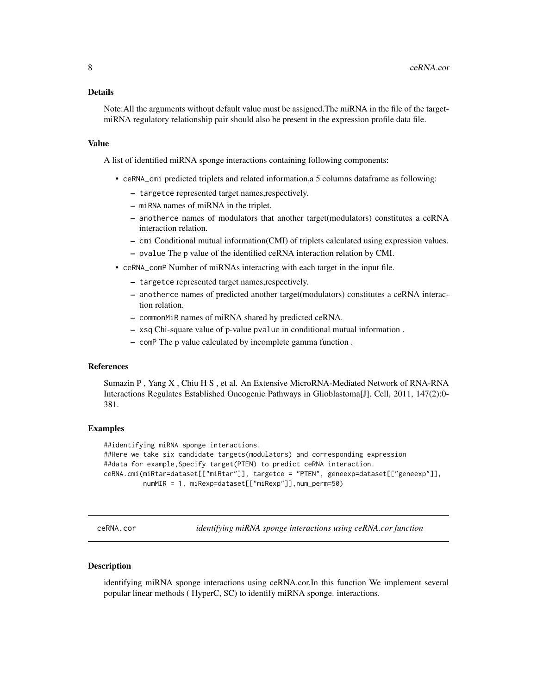#### <span id="page-7-0"></span>Details

Note:All the arguments without default value must be assigned.The miRNA in the file of the targetmiRNA regulatory relationship pair should also be present in the expression profile data file.

#### Value

A list of identified miRNA sponge interactions containing following components:

- ceRNA\_cmi predicted triplets and related information,a 5 columns dataframe as following:
	- targetce represented target names,respectively.
	- miRNA names of miRNA in the triplet.
	- anotherce names of modulators that another target(modulators) constitutes a ceRNA interaction relation.
	- cmi Conditional mutual information(CMI) of triplets calculated using expression values.
	- pvalue The p value of the identified ceRNA interaction relation by CMI.
- ceRNA\_comP Number of miRNAs interacting with each target in the input file.
	- targetce represented target names,respectively.
	- anotherce names of predicted another target(modulators) constitutes a ceRNA interaction relation.
	- commonMiR names of miRNA shared by predicted ceRNA.
	- xsq Chi-square value of p-value pvalue in conditional mutual information .
	- comP The p value calculated by incomplete gamma function .

#### References

Sumazin P , Yang X , Chiu H S , et al. An Extensive MicroRNA-Mediated Network of RNA-RNA Interactions Regulates Established Oncogenic Pathways in Glioblastoma[J]. Cell, 2011, 147(2):0- 381.

#### Examples

```
##identifying miRNA sponge interactions.
##Here we take six candidate targets(modulators) and corresponding expression
##data for example,Specify target(PTEN) to predict ceRNA interaction.
ceRNA.cmi(miRtar=dataset[["miRtar"]], targetce = "PTEN", geneexp=dataset[["geneexp"]],
         numMIR = 1, miRexp=dataset[["miRexp"]],num_perm=50)
```
ceRNA.cor *identifying miRNA sponge interactions using ceRNA.cor function*

#### **Description**

identifying miRNA sponge interactions using ceRNA.cor.In this function We implement several popular linear methods ( HyperC, SC) to identify miRNA sponge. interactions.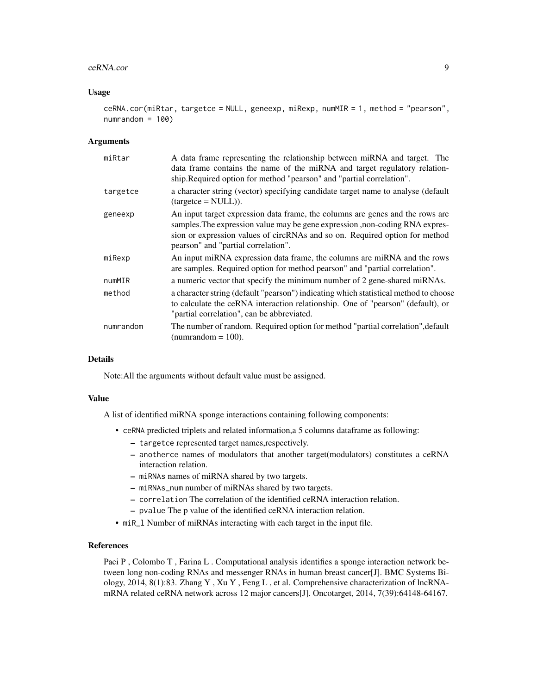#### ceRNA.cor 9

#### Usage

```
ceRNA.cor(miRtar, targetce = NULL, geneexp, miRexp, numMIR = 1, method = "pearson",
numrandom = 100
```
#### Arguments

| miRtar    | A data frame representing the relationship between miRNA and target. The<br>data frame contains the name of the miRNA and target regulatory relation-<br>ship.Required option for method "pearson" and "partial correlation".                                                       |
|-----------|-------------------------------------------------------------------------------------------------------------------------------------------------------------------------------------------------------------------------------------------------------------------------------------|
| targetce  | a character string (vector) specifying candidate target name to analyse (default<br>$(targetce = NULL).$                                                                                                                                                                            |
| geneexp   | An input target expression data frame, the columns are genes and the rows are<br>samples. The expression value may be gene expression, non-coding RNA expres-<br>sion or expression values of circRNAs and so on. Required option for method<br>pearson" and "partial correlation". |
| miRexp    | An input miRNA expression data frame, the columns are miRNA and the rows<br>are samples. Required option for method pearson" and "partial correlation".                                                                                                                             |
| numMIR    | a numeric vector that specify the minimum number of 2 gene-shared miRNAs.                                                                                                                                                                                                           |
| method    | a character string (default "pearson") indicating which statistical method to choose<br>to calculate the ceRNA interaction relationship. One of "pearson" (default), or<br>"partial correlation", can be abbreviated.                                                               |
| numrandom | The number of random. Required option for method "partial correlation", default<br>(numrandom $= 100$ ).                                                                                                                                                                            |

#### **Details**

Note:All the arguments without default value must be assigned.

#### Value

A list of identified miRNA sponge interactions containing following components:

- ceRNA predicted triplets and related information,a 5 columns dataframe as following:
	- targetce represented target names,respectively.
	- anotherce names of modulators that another target(modulators) constitutes a ceRNA interaction relation.
	- miRNAs names of miRNA shared by two targets.
	- miRNAs\_num number of miRNAs shared by two targets.
	- correlation The correlation of the identified ceRNA interaction relation.
	- pvalue The p value of the identified ceRNA interaction relation.
- miR\_l Number of miRNAs interacting with each target in the input file.

#### References

Paci P, Colombo T, Farina L. Computational analysis identifies a sponge interaction network between long non-coding RNAs and messenger RNAs in human breast cancer[J]. BMC Systems Biology, 2014, 8(1):83. Zhang Y , Xu Y , Feng L , et al. Comprehensive characterization of lncRNAmRNA related ceRNA network across 12 major cancers[J]. Oncotarget, 2014, 7(39):64148-64167.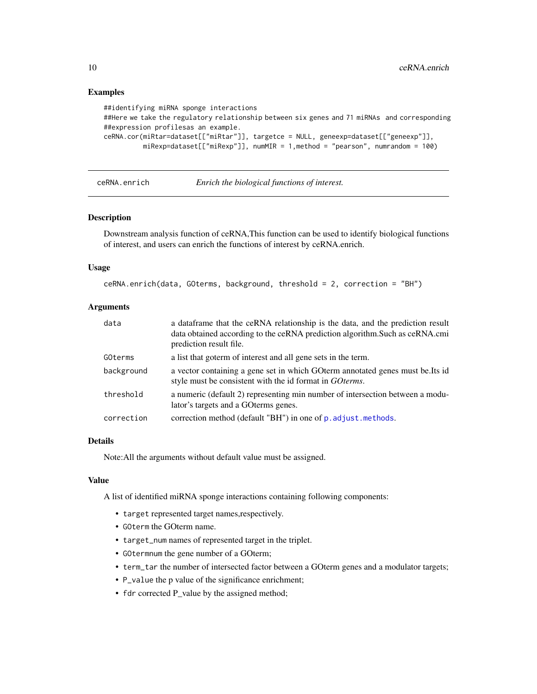#### Examples

```
##identifying miRNA sponge interactions
##Here we take the regulatory relationship between six genes and 71 miRNAs and corresponding
##expression profilesas an example.
ceRNA.cor(miRtar=dataset[["miRtar"]], targetce = NULL, geneexp=dataset[["geneexp"]],
         miRexp=dataset[["miRexp"]], numMIR = 1,method = "pearson", numrandom = 100)
```
ceRNA.enrich *Enrich the biological functions of interest.*

#### Description

Downstream analysis function of ceRNA,This function can be used to identify biological functions of interest, and users can enrich the functions of interest by ceRNA.enrich.

#### Usage

```
ceRNA.enrich(data, GOterms, background, threshold = 2, correction = "BH")
```
#### Arguments

| data       | a data frame that the ceRNA relationship is the data, and the prediction result<br>data obtained according to the ceRNA prediction algorithm. Such as ceRNA.cmi<br>prediction result file. |
|------------|--------------------------------------------------------------------------------------------------------------------------------------------------------------------------------------------|
| GOterms    | a list that goterm of interest and all gene sets in the term.                                                                                                                              |
| background | a vector containing a gene set in which GO term annotated genes must be. Its id<br>style must be consistent with the id format in <i>GO terms</i> .                                        |
| threshold  | a numeric (default 2) representing min number of intersection between a modu-<br>lator's targets and a GO terms genes.                                                                     |
| correction | correction method (default "BH") in one of p. adjust.methods.                                                                                                                              |

#### Details

Note:All the arguments without default value must be assigned.

#### Value

A list of identified miRNA sponge interactions containing following components:

- target represented target names,respectively.
- GOterm the GOterm name.
- target\_num names of represented target in the triplet.
- GOtermnum the gene number of a GOterm;
- term\_tar the number of intersected factor between a GOterm genes and a modulator targets;
- P\_value the p value of the significance enrichment;
- fdr corrected P\_value by the assigned method;

<span id="page-9-0"></span>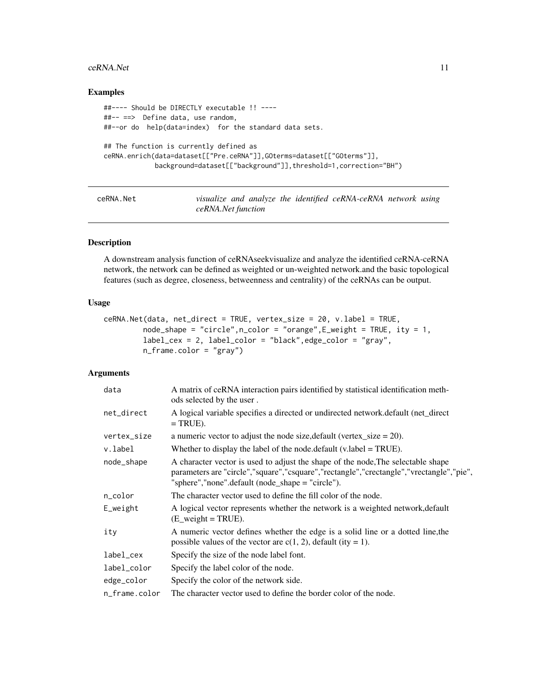#### <span id="page-10-0"></span> $ceRNA.Net$  11

#### Examples

```
##---- Should be DIRECTLY executable !! ----
##-- ==> Define data, use random,
##--or do help(data=index) for the standard data sets.
## The function is currently defined as
ceRNA.enrich(data=dataset[["Pre.ceRNA"]],GOterms=dataset[["GOterms"]],
            background=dataset[["background"]],threshold=1,correction="BH")
```
ceRNA.Net *visualize and analyze the identified ceRNA-ceRNA network using ceRNA.Net function*

#### Description

A downstream analysis function of ceRNAseekvisualize and analyze the identified ceRNA-ceRNA network, the network can be defined as weighted or un-weighted network.and the basic topological features (such as degree, closeness, betweenness and centrality) of the ceRNAs can be output.

#### Usage

```
ceRNA.Net(data, net_direct = TRUE, vertex_size = 20, v.label = TRUE,
         node\_shape = "circle", n\_color = "orange", E\_weight = TRUE, ity = 1,label_cex = 2, label_color = "black",edge_color = "gray",
         n_frame.color = "gray")
```
#### Arguments

| data          | A matrix of ceRNA interaction pairs identified by statistical identification meth-<br>ods selected by the user.                                                                                                                 |
|---------------|---------------------------------------------------------------------------------------------------------------------------------------------------------------------------------------------------------------------------------|
| net_direct    | A logical variable specifies a directed or undirected network. default (net_direct<br>$=$ TRUE).                                                                                                                                |
| vertex_size   | a numeric vector to adjust the node size, default (vertex_size = $20$ ).                                                                                                                                                        |
| v.label       | Whether to display the label of the node. default $(v \cdot \text{label} = \text{TRUE})$ .                                                                                                                                      |
| node_shape    | A character vector is used to adjust the shape of the node, The selectable shape<br>parameters are "circle","square","csquare","rectangle","crectangle","vrectangle","pie",<br>"sphere","none".default (node_shape = "circle"). |
| n_color       | The character vector used to define the fill color of the node.                                                                                                                                                                 |
| E_weight      | A logical vector represents whether the network is a weighted network, default<br>$(E$ <sub>weight</sub> = TRUE).                                                                                                               |
| ity           | A numeric vector defines whether the edge is a solid line or a dotted line, the<br>possible values of the vector are $c(1, 2)$ , default (ity = 1).                                                                             |
| label_cex     | Specify the size of the node label font.                                                                                                                                                                                        |
| label_color   | Specify the label color of the node.                                                                                                                                                                                            |
| edge_color    | Specify the color of the network side.                                                                                                                                                                                          |
| n_frame.color | The character vector used to define the border color of the node.                                                                                                                                                               |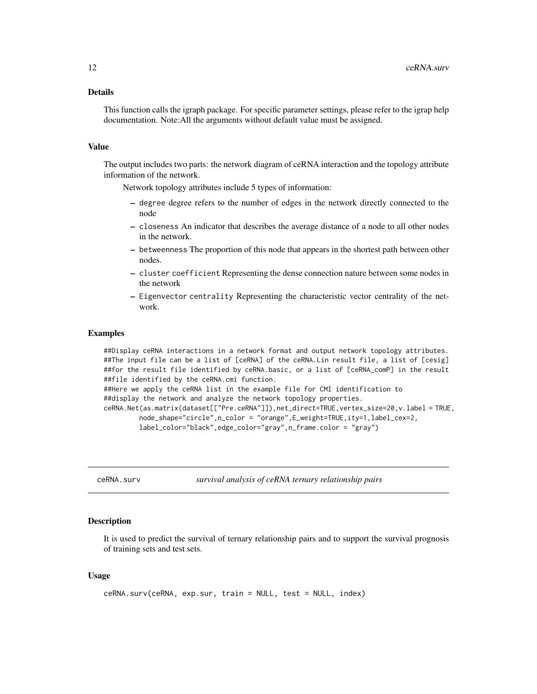#### <span id="page-11-0"></span>Details

This function calls the igraph package. For specific parameter settings, please refer to the igrap help documentation. Note:All the arguments without default value must be assigned.

#### Value

The output includes two parts: the network diagram of ceRNA interaction and the topology attribute information of the network.

Network topology attributes include 5 types of information:

- degree degree refers to the number of edges in the network directly connected to the node
- closeness An indicator that describes the average distance of a node to all other nodes in the network.
- betweenness The proportion of this node that appears in the shortest path between other nodes.
- cluster coefficient Representing the dense connection nature between some nodes in the network
- Eigenvector centrality Representing the characteristic vector centrality of the network.

#### Examples

```
##Display ceRNA interactions in a network format and output network topology attributes.
##The input file can be a list of [ceRNA] of the ceRNA.Lin result file, a list of [cesig]
##for the result file identified by ceRNA.basic, or a list of [ceRNA_comP] in the result
##file identified by the ceRNA.cmi function.
##Here we apply the ceRNA list in the example file for CMI identification to
##display the network and analyze the network topology properties.
ceRNA.Net(as.matrix(dataset[["Pre.ceRNA"]]),net_direct=TRUE,vertex_size=20,v.label = TRUE,
        node_shape="circle",n_color = "orange",E_weight=TRUE,ity=1,label_cex=2,
        label_color="black",edge_color="gray",n_frame.color = "gray")
```
ceRNA.surv *survival analysis of ceRNA ternary relationship pairs*

#### Description

It is used to predict the survival of ternary relationship pairs and to support the survival prognosis of training sets and test sets.

#### Usage

```
ceRNA.surv(ceRNA, exp.sur, train = NULL, test = NULL, index)
```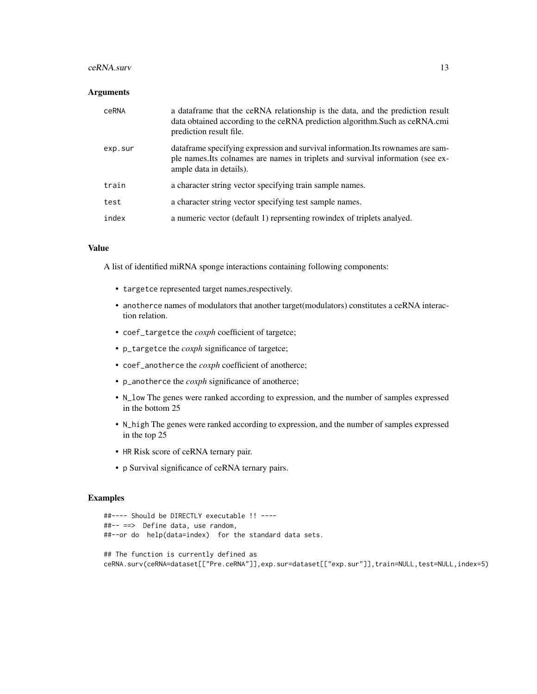#### $ceRNA$ .surv  $13$

#### **Arguments**

| ceRNA   | a data frame that the ceRNA relationship is the data, and the prediction result<br>data obtained according to the ceRNA prediction algorithm. Such as ceRNA.cmi<br>prediction result file.     |
|---------|------------------------------------------------------------------------------------------------------------------------------------------------------------------------------------------------|
| exp.sur | data frame specifying expression and survival information. Its rownames are sam-<br>ple names. Its colnames are names in triplets and survival information (see ex-<br>ample data in details). |
| train   | a character string vector specifying train sample names.                                                                                                                                       |
| test    | a character string vector specifying test sample names.                                                                                                                                        |
| index   | a numeric vector (default 1) reprsenting rowindex of triplets analyed.                                                                                                                         |

#### Value

A list of identified miRNA sponge interactions containing following components:

- targetce represented target names,respectively.
- anotherce names of modulators that another target(modulators) constitutes a ceRNA interaction relation.
- coef\_targetce the *coxph* coefficient of targetce;
- p\_targetce the *coxph* significance of targetce;
- coef\_anotherce the *coxph* coefficient of anotherce;
- p\_anotherce the *coxph* significance of anotherce;
- N\_low The genes were ranked according to expression, and the number of samples expressed in the bottom 25
- N\_high The genes were ranked according to expression, and the number of samples expressed in the top 25
- HR Risk score of ceRNA ternary pair.
- p Survival significance of ceRNA ternary pairs.

#### Examples

```
##---- Should be DIRECTLY executable !! ----
##-- ==> Define data, use random,
##--or do help(data=index) for the standard data sets.
## The function is currently defined as
ceRNA.surv(ceRNA=dataset[["Pre.ceRNA"]],exp.sur=dataset[["exp.sur"]],train=NULL,test=NULL,index=5)
```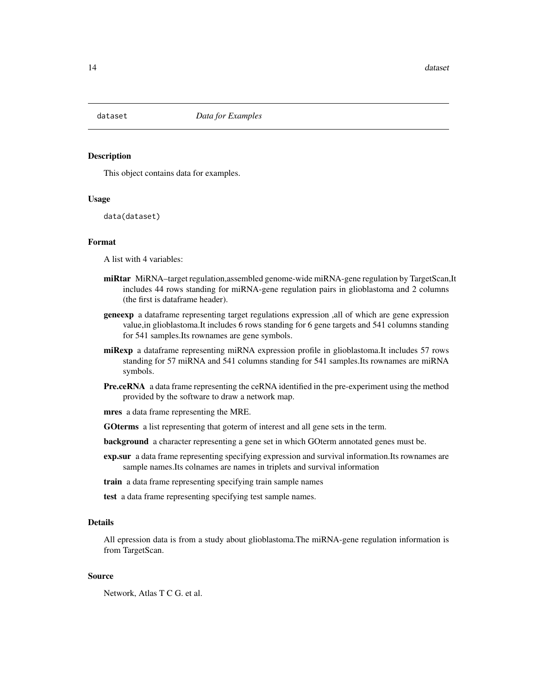<span id="page-13-0"></span>

#### **Description**

This object contains data for examples.

#### Usage

data(dataset)

#### Format

A list with 4 variables:

- miRtar MiRNA–target regulation,assembled genome-wide miRNA-gene regulation by TargetScan,It includes 44 rows standing for miRNA-gene regulation pairs in glioblastoma and 2 columns (the first is dataframe header).
- geneexp a dataframe representing target regulations expression ,all of which are gene expression value,in glioblastoma.It includes 6 rows standing for 6 gene targets and 541 columns standing for 541 samples.Its rownames are gene symbols.
- miRexp a dataframe representing miRNA expression profile in glioblastoma.It includes 57 rows standing for 57 miRNA and 541 columns standing for 541 samples.Its rownames are miRNA symbols.
- Pre.ceRNA a data frame representing the ceRNA identified in the pre-experiment using the method provided by the software to draw a network map.

mres a data frame representing the MRE.

- GOterms a list representing that goterm of interest and all gene sets in the term.
- background a character representing a gene set in which GOterm annotated genes must be.
- exp.sur a data frame representing specifying expression and survival information.Its rownames are sample names.Its colnames are names in triplets and survival information
- train a data frame representing specifying train sample names
- test a data frame representing specifying test sample names.

#### Details

All epression data is from a study about glioblastoma.The miRNA-gene regulation information is from TargetScan.

#### Source

Network, Atlas T C G. et al.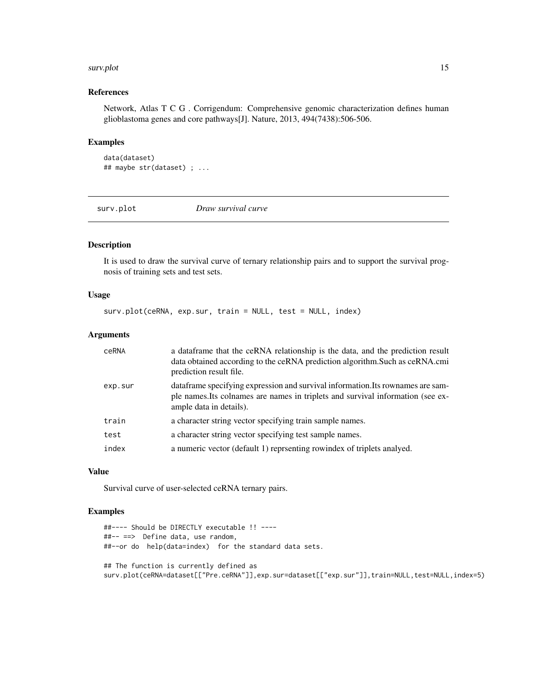#### <span id="page-14-0"></span>surv.plot that the same survey of the same survey of the same survey of the same survey of the same survey of the same survey of the same survey of the same survey of the same survey of the same survey of the same survey o

#### References

Network, Atlas T C G . Corrigendum: Comprehensive genomic characterization defines human glioblastoma genes and core pathways[J]. Nature, 2013, 494(7438):506-506.

#### Examples

```
data(dataset)
## maybe str(dataset) ; ...
```
surv.plot *Draw survival curve*

#### Description

It is used to draw the survival curve of ternary relationship pairs and to support the survival prognosis of training sets and test sets.

#### Usage

surv.plot(ceRNA, exp.sur, train = NULL, test = NULL, index)

#### Arguments

| ceRNA   | a data frame that the ceRNA relationship is the data, and the prediction result<br>data obtained according to the ceRNA prediction algorithm. Such as ceRNA.cmi<br>prediction result file.     |
|---------|------------------------------------------------------------------------------------------------------------------------------------------------------------------------------------------------|
| exp.sur | data frame specifying expression and survival information. Its rownames are sam-<br>ple names. Its colnames are names in triplets and survival information (see ex-<br>ample data in details). |
| train   | a character string vector specifying train sample names.                                                                                                                                       |
| test    | a character string vector specifying test sample names.                                                                                                                                        |
| index   | a numeric vector (default 1) reprsenting rowindex of triplets analyed.                                                                                                                         |

#### Value

Survival curve of user-selected ceRNA ternary pairs.

#### Examples

```
##---- Should be DIRECTLY executable !! ----
##-- ==> Define data, use random,
##--or do help(data=index) for the standard data sets.
## The function is currently defined as
```